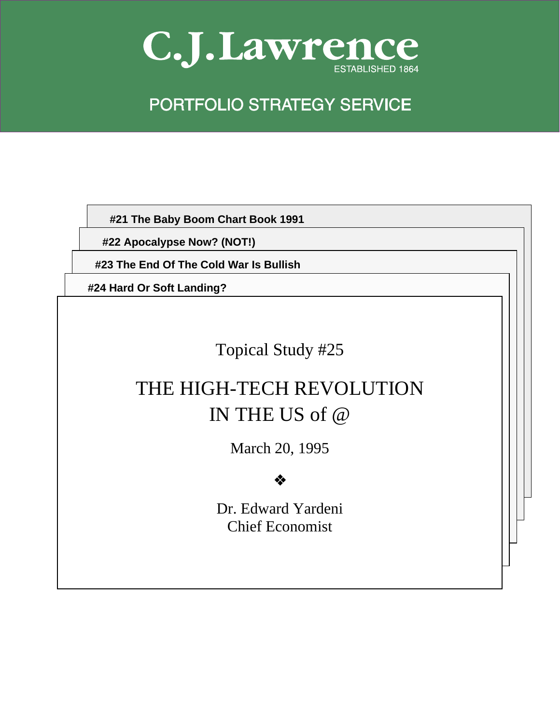

## PORTFOLIO STRATEGY SERVICE

**#21 The Baby Boom Chart Book 1991**

**#22 Apocalypse Now? (NOT!)**

**#23 The End Of The Cold War Is Bullish**

**#24 Hard Or Soft Landing?**

Topical Study #25

# THE HIGH-TECH REVOLUTION IN THE US of @

March 20, 1995

### ❖

Dr. Edward Yardeni Chief Economist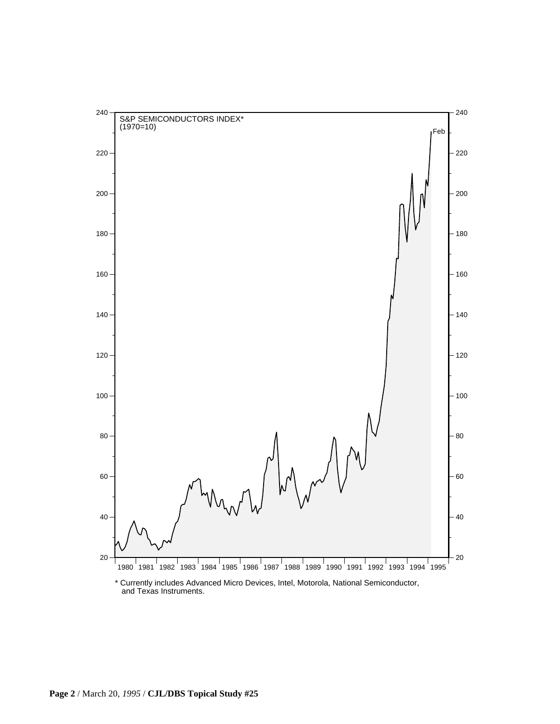

and Texas Instruments.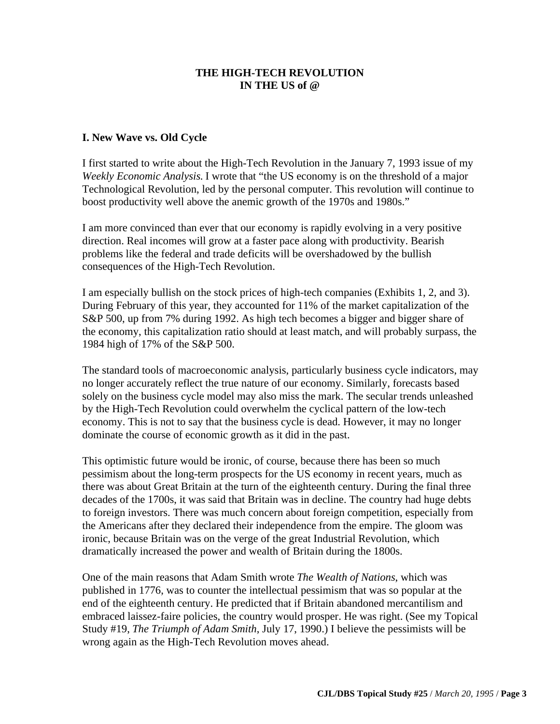#### **THE HIGH-TECH REVOLUTION IN THE US of @**

#### **I. New Wave vs. Old Cycle**

I first started to write about the High-Tech Revolution in the January 7, 1993 issue of my *Weekly Economic Analysis.* I wrote that "the US economy is on the threshold of a major Technological Revolution, led by the personal computer. This revolution will continue to boost productivity well above the anemic growth of the 1970s and 1980s."

I am more convinced than ever that our economy is rapidly evolving in a very positive direction. Real incomes will grow at a faster pace along with productivity. Bearish problems like the federal and trade deficits will be overshadowed by the bullish consequences of the High-Tech Revolution.

I am especially bullish on the stock prices of high-tech companies (Exhibits 1, 2, and 3). During February of this year, they accounted for 11% of the market capitalization of the S&P 500, up from 7% during 1992. As high tech becomes a bigger and bigger share of the economy, this capitalization ratio should at least match, and will probably surpass, the 1984 high of 17% of the S&P 500.

The standard tools of macroeconomic analysis, particularly business cycle indicators, may no longer accurately reflect the true nature of our economy. Similarly, forecasts based solely on the business cycle model may also miss the mark. The secular trends unleashed by the High-Tech Revolution could overwhelm the cyclical pattern of the low-tech economy. This is not to say that the business cycle is dead. However, it may no longer dominate the course of economic growth as it did in the past.

This optimistic future would be ironic, of course, because there has been so much pessimism about the long-term prospects for the US economy in recent years, much as there was about Great Britain at the turn of the eighteenth century. During the final three decades of the 1700s, it was said that Britain was in decline. The country had huge debts to foreign investors. There was much concern about foreign competition, especially from the Americans after they declared their independence from the empire. The gloom was ironic, because Britain was on the verge of the great Industrial Revolution, which dramatically increased the power and wealth of Britain during the 1800s.

One of the main reasons that Adam Smith wrote *The Wealth of Nations*, which was published in 1776, was to counter the intellectual pessimism that was so popular at the end of the eighteenth century. He predicted that if Britain abandoned mercantilism and embraced laissez-faire policies, the country would prosper. He was right. (See my Topical Study #19, *The Triumph of Adam Smith*, July 17, 1990.) I believe the pessimists will be wrong again as the High-Tech Revolution moves ahead.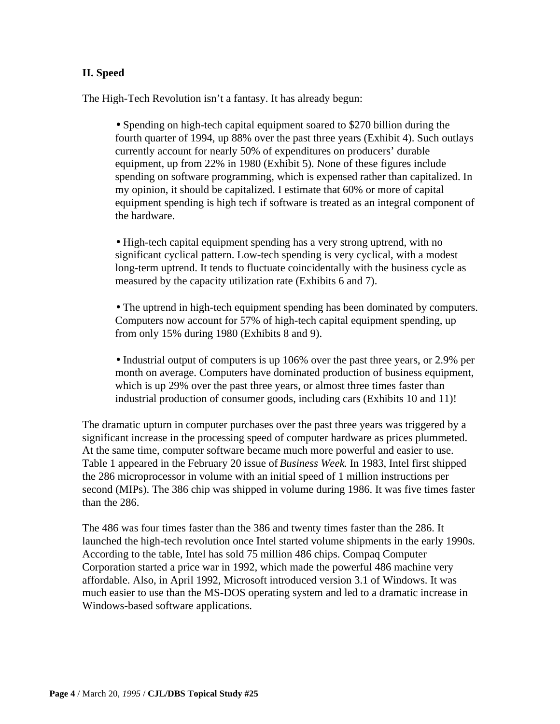#### **II. Speed**

The High-Tech Revolution isn't a fantasy. It has already begun:

• Spending on high-tech capital equipment soared to \$270 billion during the fourth quarter of 1994, up 88% over the past three years (Exhibit 4). Such outlays currently account for nearly 50% of expenditures on producers' durable equipment, up from 22% in 1980 (Exhibit 5). None of these figures include spending on software programming, which is expensed rather than capitalized. In my opinion, it should be capitalized. I estimate that 60% or more of capital equipment spending is high tech if software is treated as an integral component of the hardware.

• High-tech capital equipment spending has a very strong uptrend, with no significant cyclical pattern. Low-tech spending is very cyclical, with a modest long-term uptrend. It tends to fluctuate coincidentally with the business cycle as measured by the capacity utilization rate (Exhibits 6 and 7).

• The uptrend in high-tech equipment spending has been dominated by computers. Computers now account for 57% of high-tech capital equipment spending, up from only 15% during 1980 (Exhibits 8 and 9).

• Industrial output of computers is up 106% over the past three years, or 2.9% per month on average. Computers have dominated production of business equipment, which is up 29% over the past three years, or almost three times faster than industrial production of consumer goods, including cars (Exhibits 10 and 11)!

The dramatic upturn in computer purchases over the past three years was triggered by a significant increase in the processing speed of computer hardware as prices plummeted. At the same time, computer software became much more powerful and easier to use. Table 1 appeared in the February 20 issue of *Business Week.* In 1983, Intel first shipped the 286 microprocessor in volume with an initial speed of 1 million instructions per second (MIPs). The 386 chip was shipped in volume during 1986. It was five times faster than the 286.

The 486 was four times faster than the 386 and twenty times faster than the 286. It launched the high-tech revolution once Intel started volume shipments in the early 1990s. According to the table, Intel has sold 75 million 486 chips. Compaq Computer Corporation started a price war in 1992, which made the powerful 486 machine very affordable. Also, in April 1992, Microsoft introduced version 3.1 of Windows. It was much easier to use than the MS-DOS operating system and led to a dramatic increase in Windows-based software applications.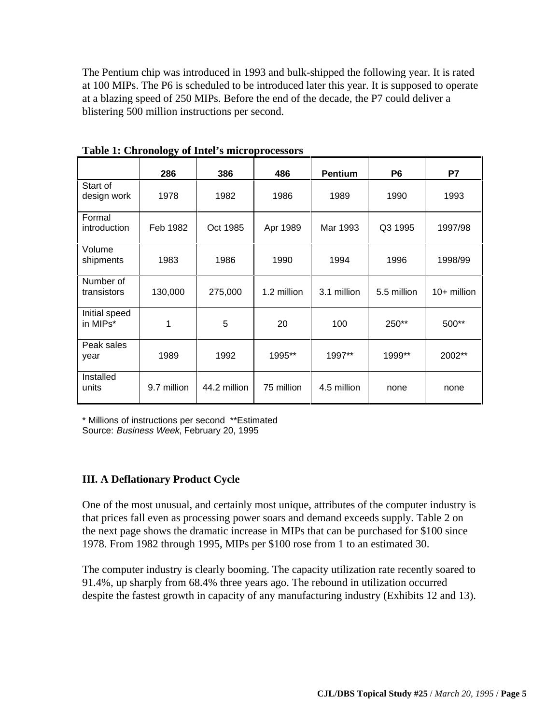The Pentium chip was introduced in 1993 and bulk-shipped the following year. It is rated at 100 MIPs. The P6 is scheduled to be introduced later this year. It is supposed to operate at a blazing speed of 250 MIPs. Before the end of the decade, the P7 could deliver a blistering 500 million instructions per second.

|                               | 286         | 386          | 486         | <b>Pentium</b> | P <sub>6</sub> | P7            |
|-------------------------------|-------------|--------------|-------------|----------------|----------------|---------------|
| Start of<br>design work       | 1978        | 1982         | 1986        | 1989           | 1990           | 1993          |
| Formal<br><i>introduction</i> | Feb 1982    | Oct 1985     | Apr 1989    | Mar 1993       | Q3 1995        | 1997/98       |
| Volume<br>shipments           | 1983        | 1986         | 1990        | 1994           | 1996           | 1998/99       |
| Number of<br>transistors      | 130,000     | 275,000      | 1.2 million | 3.1 million    | 5.5 million    | $10+$ million |
| Initial speed<br>in MIPs*     | 1           | 5            | 20          | 100            | 250**          | 500**         |
| Peak sales<br>year            | 1989        | 1992         | 1995**      | 1997**         | 1999**         | 2002**        |
| Installed<br>units            | 9.7 million | 44.2 million | 75 million  | 4.5 million    | none           | none          |

**Table 1: Chronology of Intel's microprocessors**

\* Millions of instructions per second \*\*Estimated Source: Business Week, February 20, 1995

#### **III. A Deflationary Product Cycle**

One of the most unusual, and certainly most unique, attributes of the computer industry is that prices fall even as processing power soars and demand exceeds supply. Table 2 on the next page shows the dramatic increase in MIPs that can be purchased for \$100 since 1978. From 1982 through 1995, MIPs per \$100 rose from 1 to an estimated 30.

The computer industry is clearly booming. The capacity utilization rate recently soared to 91.4%, up sharply from 68.4% three years ago. The rebound in utilization occurred despite the fastest growth in capacity of any manufacturing industry (Exhibits 12 and 13).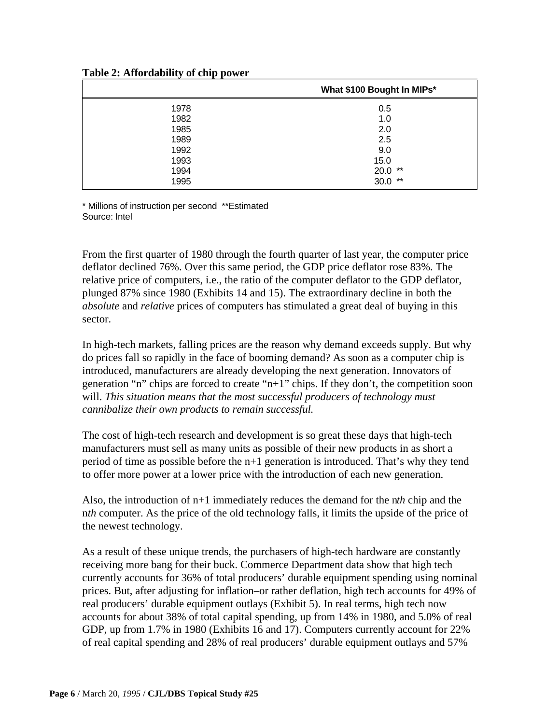| $\cdot$<br>. . |                            |
|----------------|----------------------------|
|                | What \$100 Bought In MIPs* |
| 1978           | 0.5                        |
| 1982           | 1.0                        |
| 1985           | 2.0                        |
| 1989           | 2.5                        |
| 1992           | 9.0                        |
| 1993           | 15.0                       |
| 1994           | 20.0<br>**                 |
| 1995           | **<br>30.0                 |
|                |                            |

#### **Table 2: Affordability of chip power**

\* Millions of instruction per second \*\*Estimated Source: Intel

From the first quarter of 1980 through the fourth quarter of last year, the computer price deflator declined 76%. Over this same period, the GDP price deflator rose 83%. The relative price of computers, i.e., the ratio of the computer deflator to the GDP deflator, plunged 87% since 1980 (Exhibits 14 and 15). The extraordinary decline in both the *absolute* and *relative* prices of computers has stimulated a great deal of buying in this sector.

In high-tech markets, falling prices are the reason why demand exceeds supply. But why do prices fall so rapidly in the face of booming demand? As soon as a computer chip is introduced, manufacturers are already developing the next generation. Innovators of generation "n" chips are forced to create "n+1" chips. If they don't, the competition soon will. *This situation means that the most successful producers of technology must cannibalize their own products to remain successful.*

The cost of high-tech research and development is so great these days that high-tech manufacturers must sell as many units as possible of their new products in as short a period of time as possible before the n+1 generation is introduced. That's why they tend to offer more power at a lower price with the introduction of each new generation.

Also, the introduction of n+1 immediately reduces the demand for the n*th* chip and the n*th* computer. As the price of the old technology falls, it limits the upside of the price of the newest technology.

As a result of these unique trends, the purchasers of high-tech hardware are constantly receiving more bang for their buck. Commerce Department data show that high tech currently accounts for 36% of total producers' durable equipment spending using nominal prices. But, after adjusting for inflation–or rather deflation, high tech accounts for 49% of real producers' durable equipment outlays (Exhibit 5). In real terms, high tech now accounts for about 38% of total capital spending, up from 14% in 1980, and 5.0% of real GDP, up from 1.7% in 1980 (Exhibits 16 and 17). Computers currently account for 22% of real capital spending and 28% of real producers' durable equipment outlays and 57%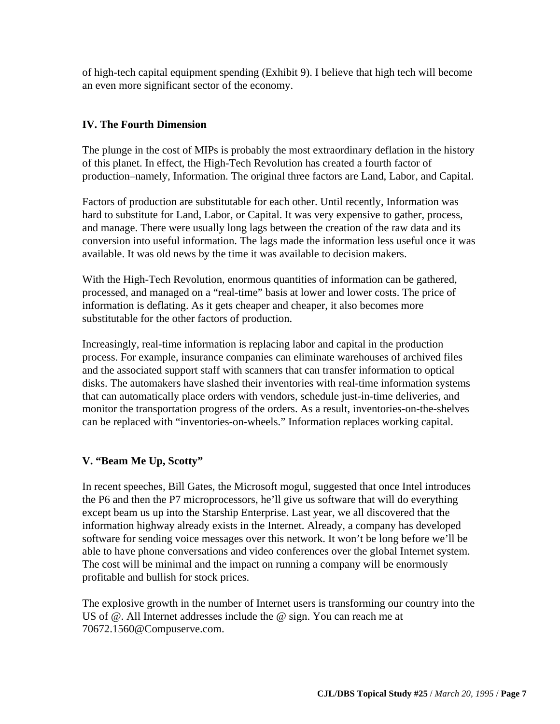of high-tech capital equipment spending (Exhibit 9). I believe that high tech will become an even more significant sector of the economy.

#### **IV. The Fourth Dimension**

The plunge in the cost of MIPs is probably the most extraordinary deflation in the history of this planet. In effect, the High-Tech Revolution has created a fourth factor of production–namely, Information. The original three factors are Land, Labor, and Capital.

Factors of production are substitutable for each other. Until recently, Information was hard to substitute for Land, Labor, or Capital. It was very expensive to gather, process, and manage. There were usually long lags between the creation of the raw data and its conversion into useful information. The lags made the information less useful once it was available. It was old news by the time it was available to decision makers.

With the High-Tech Revolution, enormous quantities of information can be gathered, processed, and managed on a "real-time" basis at lower and lower costs. The price of information is deflating. As it gets cheaper and cheaper, it also becomes more substitutable for the other factors of production.

Increasingly, real-time information is replacing labor and capital in the production process. For example, insurance companies can eliminate warehouses of archived files and the associated support staff with scanners that can transfer information to optical disks. The automakers have slashed their inventories with real-time information systems that can automatically place orders with vendors, schedule just-in-time deliveries, and monitor the transportation progress of the orders. As a result, inventories-on-the-shelves can be replaced with "inventories-on-wheels." Information replaces working capital.

#### **V. "Beam Me Up, Scotty"**

In recent speeches, Bill Gates, the Microsoft mogul, suggested that once Intel introduces the P6 and then the P7 microprocessors, he'll give us software that will do everything except beam us up into the Starship Enterprise. Last year, we all discovered that the information highway already exists in the Internet. Already, a company has developed software for sending voice messages over this network. It won't be long before we'll be able to have phone conversations and video conferences over the global Internet system. The cost will be minimal and the impact on running a company will be enormously profitable and bullish for stock prices.

The explosive growth in the number of Internet users is transforming our country into the US of @. All Internet addresses include the @ sign. You can reach me at 70672.1560@Compuserve.com.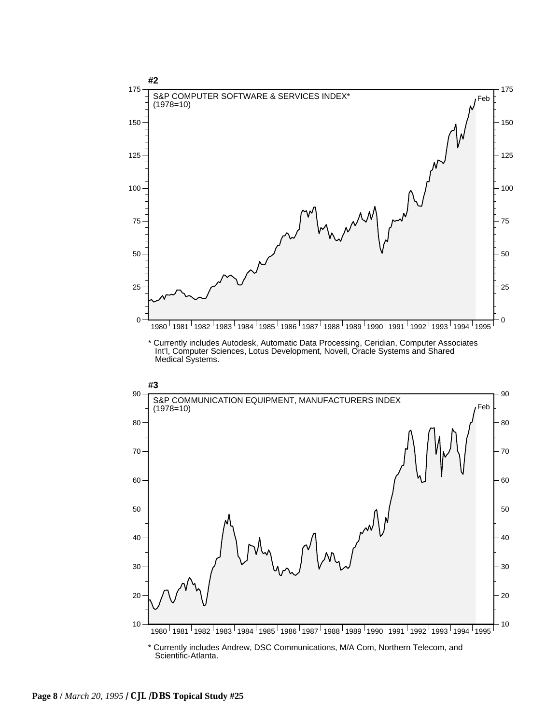

\* Currently includes Andrew, DSC Communications, M/A Com, Northern Telecom, and Scientific-Atlanta.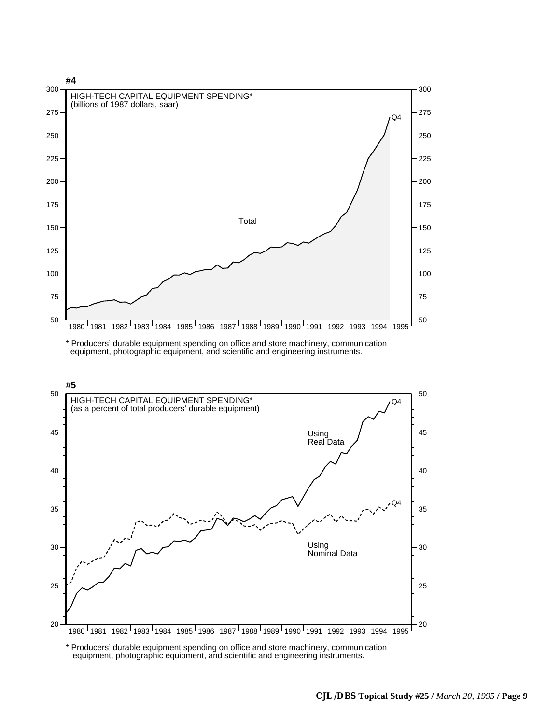

\* Producers' durable equipment spending on office and store machinery, communication equipment, photographic equipment, and scientific and engineering instruments.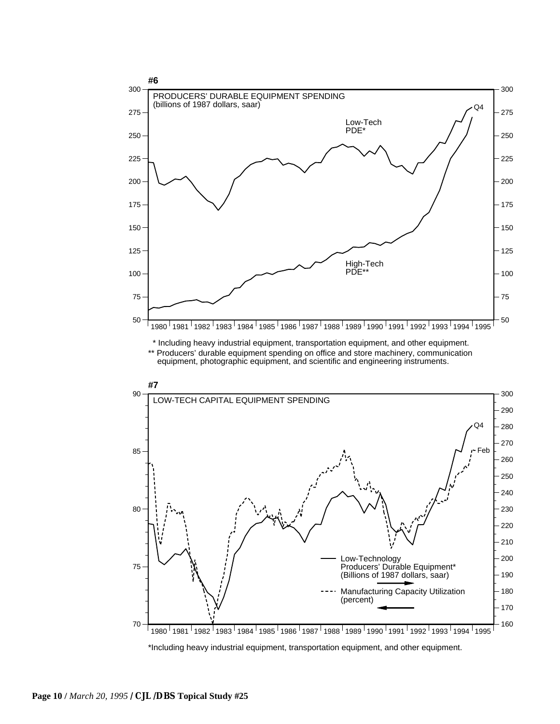

\*Including heavy industrial equipment, transportation equipment, and other equipment.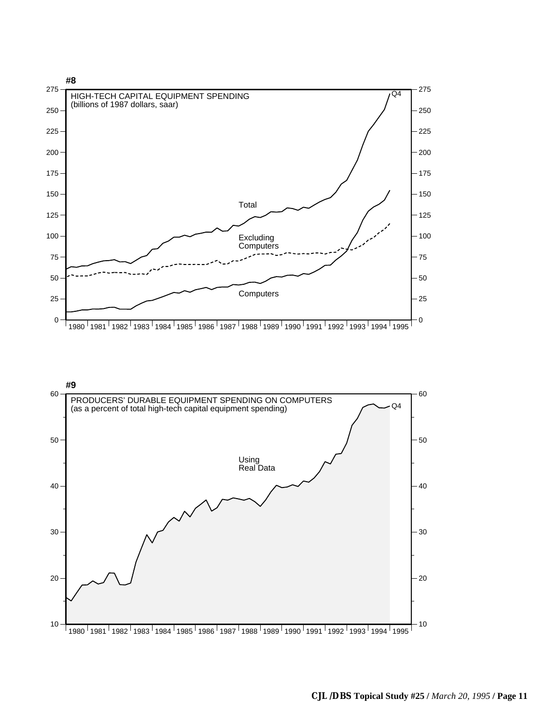

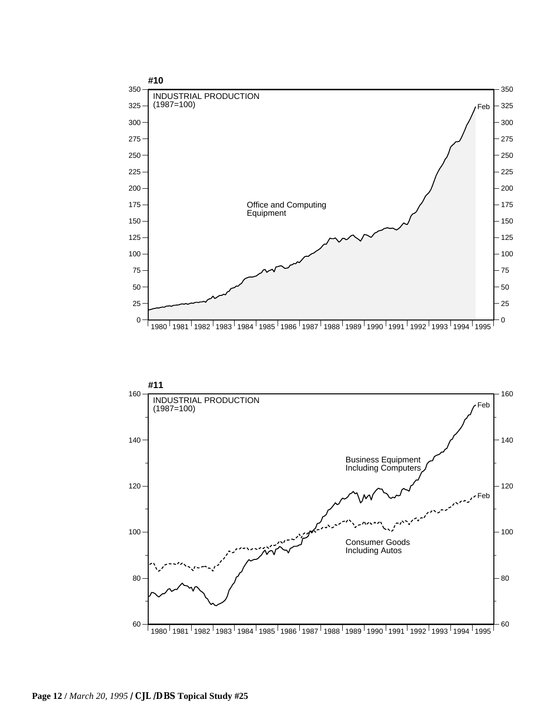

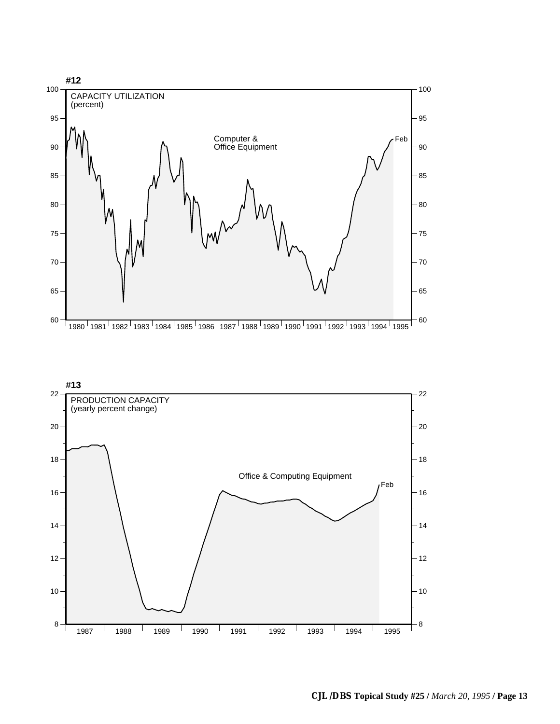

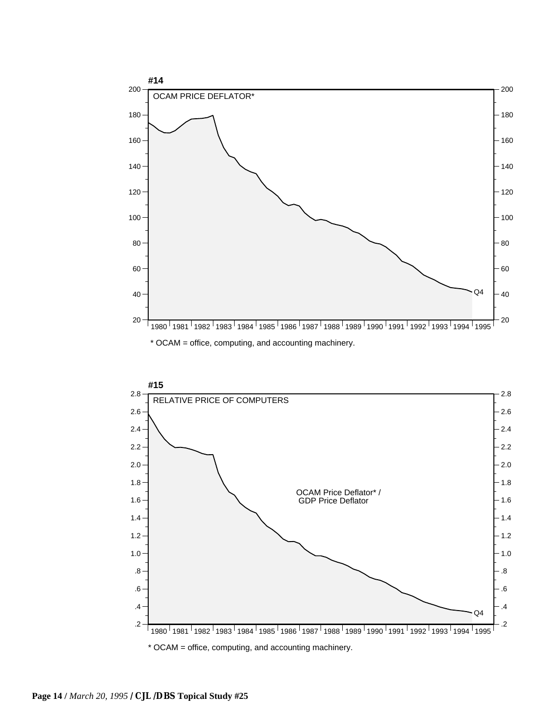

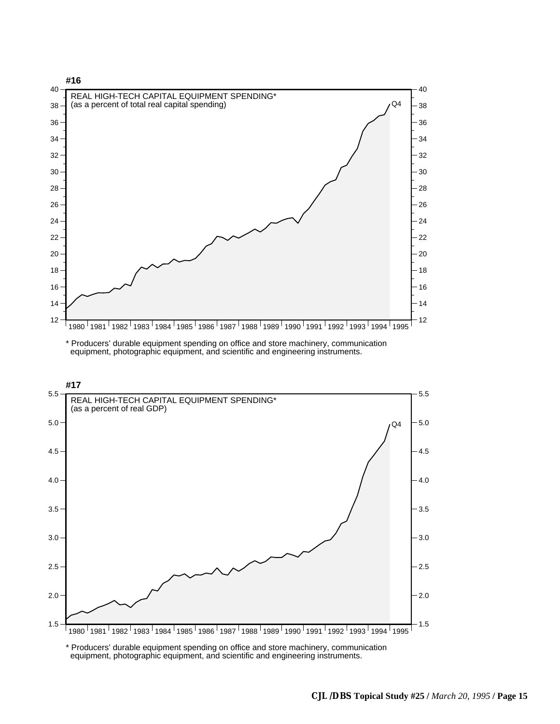

\* Producers' durable equipment spending on office and store machinery, communication equipment, photographic equipment, and scientific and engineering instruments.



\* Producers' durable equipment spending on office and store machinery, communication equipment, photographic equipment, and scientific and engineering instruments.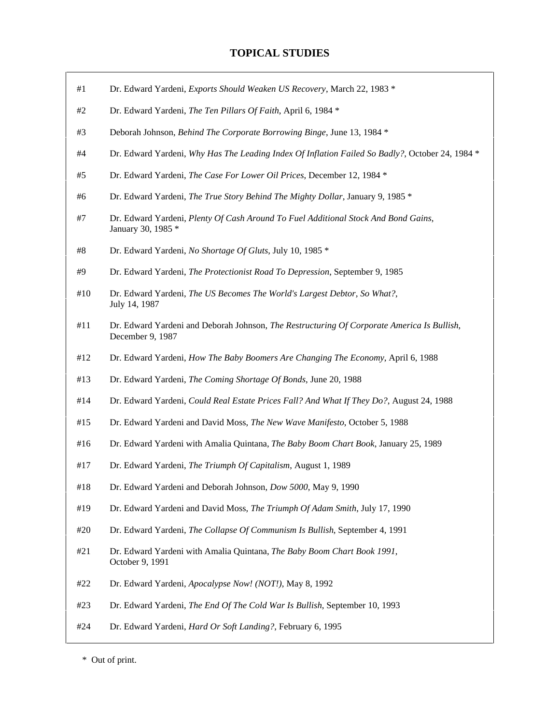#### **TOPICAL STUDIES**

- #1 Dr. Edward Yardeni, *Exports Should Weaken US Recovery*, March 22, 1983 \*
- #2 Dr. Edward Yardeni, *The Ten Pillars Of Faith*, April 6, 1984 \*
- #3 Deborah Johnson, *Behind The Corporate Borrowing Binge*, June 13, 1984 \*
- #4 Dr. Edward Yardeni, *Why Has The Leading Index Of Inflation Failed So Badly?*, October 24, 1984 \*
- #5 Dr. Edward Yardeni, *The Case For Lower Oil Prices*, December 12, 1984 \*
- #6 Dr. Edward Yardeni, *The True Story Behind The Mighty Dollar*, January 9, 1985 \*
- #7 Dr. Edward Yardeni, *Plenty Of Cash Around To Fuel Additional Stock And Bond Gains*, January 30, 1985 \*
- #8 Dr. Edward Yardeni, *No Shortage Of Gluts*, July 10, 1985 \*
- #9 Dr. Edward Yardeni, *The Protectionist Road To Depression*, September 9, 1985
- #10 Dr. Edward Yardeni, *The US Becomes The World's Largest Debtor, So What?*, July 14, 1987
- #11 Dr. Edward Yardeni and Deborah Johnson, *The Restructuring Of Corporate America Is Bullish*, December 9, 1987
- #12 Dr. Edward Yardeni, *How The Baby Boomers Are Changing The Economy*, April 6, 1988
- #13 Dr. Edward Yardeni, *The Coming Shortage Of Bonds*, June 20, 1988
- #14 Dr. Edward Yardeni, *Could Real Estate Prices Fall? And What If They Do?*, August 24, 1988
- #15 Dr. Edward Yardeni and David Moss, *The New Wave Manifesto*, October 5, 1988
- #16 Dr. Edward Yardeni with Amalia Quintana, *The Baby Boom Chart Book*, January 25, 1989
- #17 Dr. Edward Yardeni, *The Triumph Of Capitalism*, August 1, 1989
- #18 Dr. Edward Yardeni and Deborah Johnson, *Dow 5000*, May 9, 1990
- #19 Dr. Edward Yardeni and David Moss, *The Triumph Of Adam Smith*, July 17, 1990
- #20 Dr. Edward Yardeni, *The Collapse Of Communism Is Bullish*, September 4, 1991
- #21 Dr. Edward Yardeni with Amalia Quintana, *The Baby Boom Chart Book 1991*, October 9, 1991
- #22 Dr. Edward Yardeni, *Apocalypse Now! (NOT!)*, May 8, 1992
- #23 Dr. Edward Yardeni, *The End Of The Cold War Is Bullish*, September 10, 1993
- #24 Dr. Edward Yardeni, *Hard Or Soft Landing?*, February 6, 1995

\* Out of print.